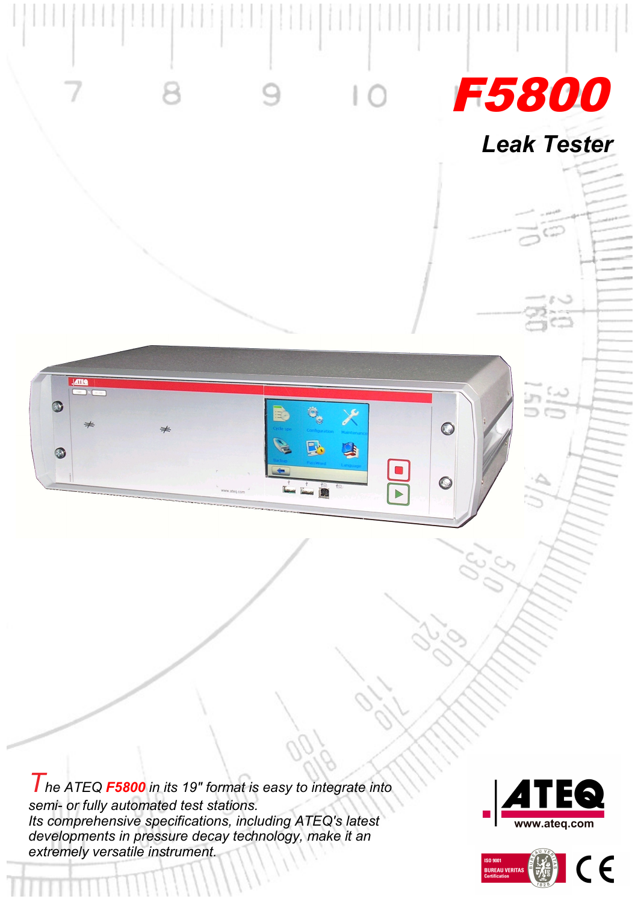

*The ATEQ F5800 in its 19" format is easy to integrate into semi- or fully automated test stations. Its comprehensive specifications, including ATEQ's latest developments in pressure decay technology, make it an extremely versatile instrument.*